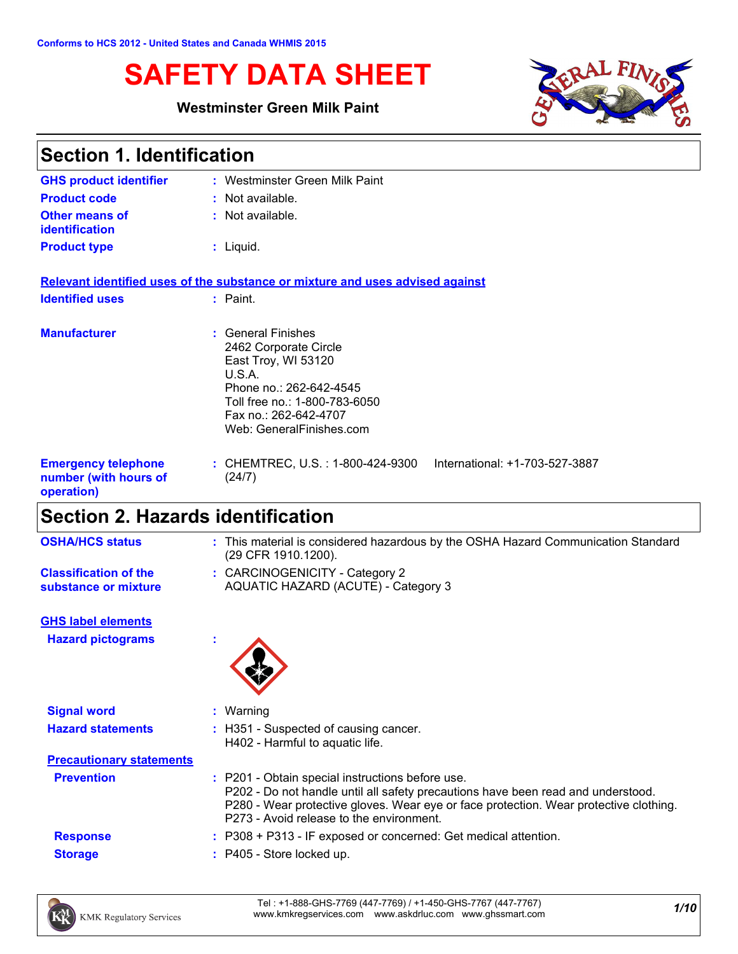# **SAFETY DATA SHEET**

## **Westminster Green Milk Paint**



| <b>Section 1. Identification</b>                                  |                                                                                                                                                                                               |  |  |
|-------------------------------------------------------------------|-----------------------------------------------------------------------------------------------------------------------------------------------------------------------------------------------|--|--|
| <b>GHS product identifier</b>                                     | : Westminster Green Milk Paint                                                                                                                                                                |  |  |
| <b>Product code</b>                                               | : Not available.                                                                                                                                                                              |  |  |
| <b>Other means of</b><br><b>identification</b>                    | $:$ Not available.                                                                                                                                                                            |  |  |
| <b>Product type</b>                                               | $:$ Liquid.                                                                                                                                                                                   |  |  |
|                                                                   | Relevant identified uses of the substance or mixture and uses advised against                                                                                                                 |  |  |
| <b>Identified uses</b>                                            | : Paint.                                                                                                                                                                                      |  |  |
| <b>Manufacturer</b>                                               | : General Finishes<br>2462 Corporate Circle<br>East Troy, WI 53120<br>U.S.A.<br>Phone no.: 262-642-4545<br>Toll free no.: 1-800-783-6050<br>Fax no.: 262-642-4707<br>Web: GeneralFinishes.com |  |  |
| <b>Emergency telephone</b><br>number (with hours of<br>operation) | : CHEMTREC, U.S. : 1-800-424-9300<br>International: +1-703-527-3887<br>(24/7)                                                                                                                 |  |  |
| Soction 2 Hazarde identification                                  |                                                                                                                                                                                               |  |  |

## **Section 2. Hazards identification**

| <b>OSHA/HCS status</b>                               | : This material is considered hazardous by the OSHA Hazard Communication Standard<br>(29 CFR 1910.1200). |
|------------------------------------------------------|----------------------------------------------------------------------------------------------------------|
| <b>Classification of the</b><br>substance or mixture | : CARCINOGENICITY - Category 2<br>AQUATIC HAZARD (ACUTE) - Category 3                                    |
| <b>GHS label elements</b>                            |                                                                                                          |

**Hazard pictograms :**



| <b>Signal word</b>              | Warning                                                                                                                                                                                                                                                                   |  |
|---------------------------------|---------------------------------------------------------------------------------------------------------------------------------------------------------------------------------------------------------------------------------------------------------------------------|--|
| <b>Hazard statements</b>        | : H351 - Suspected of causing cancer.<br>H402 - Harmful to aquatic life.                                                                                                                                                                                                  |  |
| <b>Precautionary statements</b> |                                                                                                                                                                                                                                                                           |  |
| <b>Prevention</b>               | : P201 - Obtain special instructions before use.<br>P202 - Do not handle until all safety precautions have been read and understood.<br>P280 - Wear protective gloves. Wear eye or face protection. Wear protective clothing.<br>P273 - Avoid release to the environment. |  |
| <b>Response</b>                 | $: P308 + P313$ - IF exposed or concerned: Get medical attention.                                                                                                                                                                                                         |  |
| <b>Storage</b>                  | : P405 - Store locked up.                                                                                                                                                                                                                                                 |  |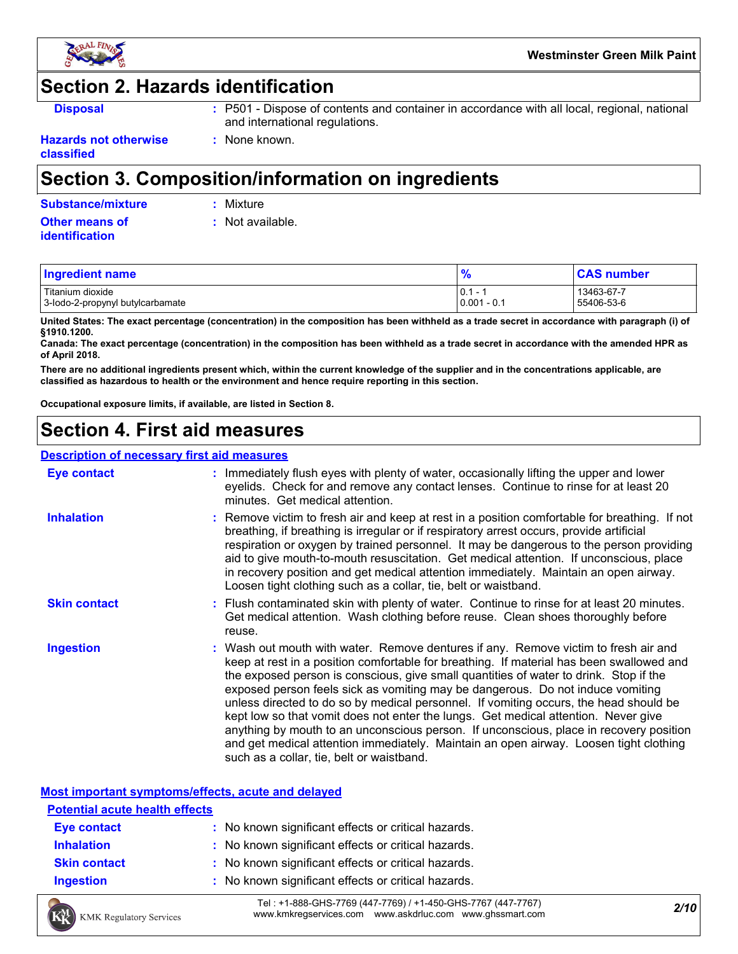

## **Section 2. Hazards identification**

- **Disposal <b>EXEC**: P501 Dispose of contents and container in accordance with all local, regional, national and international regulations.
- **Hazards not otherwise classified**

# **Section 3. Composition/information on ingredients**

**:** None known.

| <b>Substance/mixture</b><br>: Mixture |
|---------------------------------------|
|---------------------------------------|

#### **Other means of identification**

| Mixture |
|---------|
|         |
|         |
|         |

**:** Not available.

| Ingredient name                  | $\frac{1}{2}$ | <b>CAS number</b> |
|----------------------------------|---------------|-------------------|
| Titanium dioxide                 | 0.1           | 13463-67-7        |
| 3-lodo-2-propynyl butylcarbamate | $0.001 - 0.1$ | 55406-53-6        |

**United States: The exact percentage (concentration) in the composition has been withheld as a trade secret in accordance with paragraph (i) of §1910.1200.**

**Canada: The exact percentage (concentration) in the composition has been withheld as a trade secret in accordance with the amended HPR as of April 2018.**

**There are no additional ingredients present which, within the current knowledge of the supplier and in the concentrations applicable, are classified as hazardous to health or the environment and hence require reporting in this section.**

**Occupational exposure limits, if available, are listed in Section 8.**

## **Section 4. First aid measures**

## **Description of necessary first aid measures**

| <b>Eye contact</b>  | : Immediately flush eyes with plenty of water, occasionally lifting the upper and lower<br>eyelids. Check for and remove any contact lenses. Continue to rinse for at least 20<br>minutes. Get medical attention.                                                                                                                                                                                                                                                                                                                                                                                                                                                                                                                                                         |
|---------------------|---------------------------------------------------------------------------------------------------------------------------------------------------------------------------------------------------------------------------------------------------------------------------------------------------------------------------------------------------------------------------------------------------------------------------------------------------------------------------------------------------------------------------------------------------------------------------------------------------------------------------------------------------------------------------------------------------------------------------------------------------------------------------|
| <b>Inhalation</b>   | : Remove victim to fresh air and keep at rest in a position comfortable for breathing. If not<br>breathing, if breathing is irregular or if respiratory arrest occurs, provide artificial<br>respiration or oxygen by trained personnel. It may be dangerous to the person providing<br>aid to give mouth-to-mouth resuscitation. Get medical attention. If unconscious, place<br>in recovery position and get medical attention immediately. Maintain an open airway.<br>Loosen tight clothing such as a collar, tie, belt or waistband.                                                                                                                                                                                                                                 |
| <b>Skin contact</b> | : Flush contaminated skin with plenty of water. Continue to rinse for at least 20 minutes.<br>Get medical attention. Wash clothing before reuse. Clean shoes thoroughly before<br>reuse.                                                                                                                                                                                                                                                                                                                                                                                                                                                                                                                                                                                  |
| <b>Ingestion</b>    | : Wash out mouth with water. Remove dentures if any. Remove victim to fresh air and<br>keep at rest in a position comfortable for breathing. If material has been swallowed and<br>the exposed person is conscious, give small quantities of water to drink. Stop if the<br>exposed person feels sick as vomiting may be dangerous. Do not induce vomiting<br>unless directed to do so by medical personnel. If vomiting occurs, the head should be<br>kept low so that vomit does not enter the lungs. Get medical attention. Never give<br>anything by mouth to an unconscious person. If unconscious, place in recovery position<br>and get medical attention immediately. Maintain an open airway. Loosen tight clothing<br>such as a collar, tie, belt or waistband. |

### **Most important symptoms/effects, acute and delayed**

| <b>Potential acute health effects</b> |                                                     |
|---------------------------------------|-----------------------------------------------------|
| Eye contact                           | : No known significant effects or critical hazards. |
| <b>Inhalation</b>                     | : No known significant effects or critical hazards. |
| <b>Skin contact</b>                   | : No known significant effects or critical hazards. |
| <b>Ingestion</b>                      | : No known significant effects or critical hazards. |

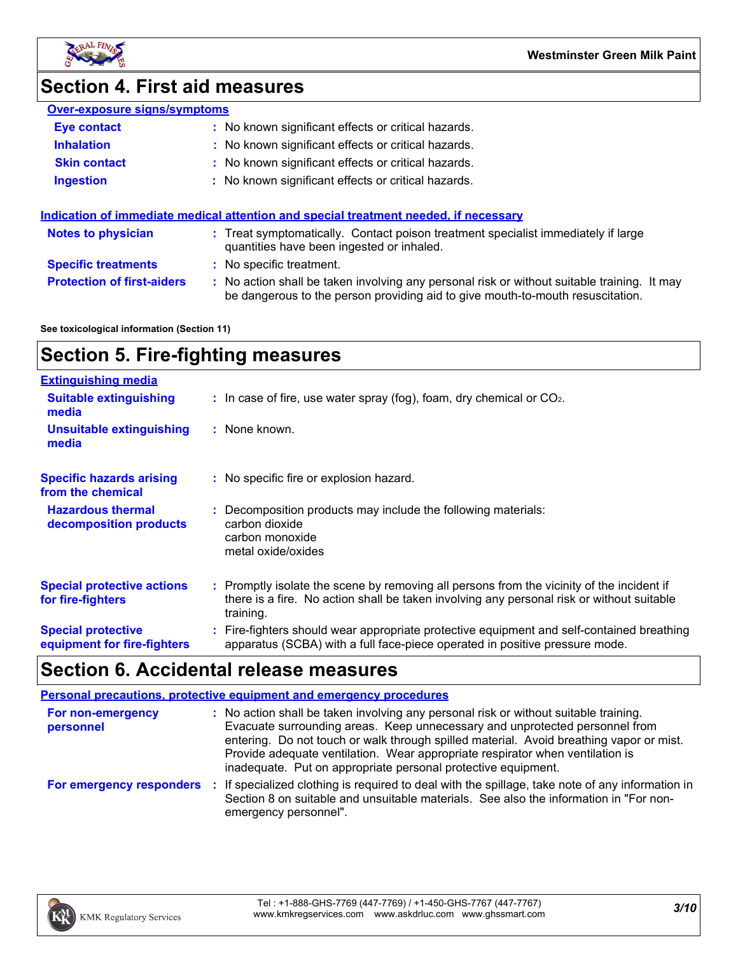

**Westminster Green Milk Paint**

# **Section 4. First aid measures**

| <b>Over-exposure signs/symptoms</b> |  |
|-------------------------------------|--|
|                                     |  |

| <b>Eye contact</b>                | : No known significant effects or critical hazards.                                                                                                                           |  |  |
|-----------------------------------|-------------------------------------------------------------------------------------------------------------------------------------------------------------------------------|--|--|
| <b>Inhalation</b>                 | : No known significant effects or critical hazards.                                                                                                                           |  |  |
| <b>Skin contact</b>               | : No known significant effects or critical hazards.                                                                                                                           |  |  |
| <b>Ingestion</b>                  | : No known significant effects or critical hazards.                                                                                                                           |  |  |
|                                   | Indication of immediate medical attention and special treatment needed, if necessary                                                                                          |  |  |
| <b>Notes to physician</b>         | : Treat symptomatically. Contact poison treatment specialist immediately if large<br>quantities have been ingested or inhaled.                                                |  |  |
| <b>Specific treatments</b>        | : No specific treatment.                                                                                                                                                      |  |  |
| <b>Protection of first-aiders</b> | : No action shall be taken involving any personal risk or without suitable training. It may<br>be dangerous to the person providing aid to give mouth-to-mouth resuscitation. |  |  |

**See toxicological information (Section 11)**

# **Section 5. Fire-fighting measures**

| <b>Extinguishing media</b>                               |                                                                                                                                                                                                     |
|----------------------------------------------------------|-----------------------------------------------------------------------------------------------------------------------------------------------------------------------------------------------------|
| <b>Suitable extinguishing</b><br>media                   | $\therefore$ In case of fire, use water spray (fog), foam, dry chemical or CO <sub>2</sub> .                                                                                                        |
| <b>Unsuitable extinguishing</b><br>media                 | : None known.                                                                                                                                                                                       |
| <b>Specific hazards arising</b><br>from the chemical     | : No specific fire or explosion hazard.                                                                                                                                                             |
| <b>Hazardous thermal</b><br>decomposition products       | : Decomposition products may include the following materials:<br>carbon dioxide<br>carbon monoxide<br>metal oxide/oxides                                                                            |
| <b>Special protective actions</b><br>for fire-fighters   | : Promptly isolate the scene by removing all persons from the vicinity of the incident if<br>there is a fire. No action shall be taken involving any personal risk or without suitable<br>training. |
| <b>Special protective</b><br>equipment for fire-fighters | : Fire-fighters should wear appropriate protective equipment and self-contained breathing<br>apparatus (SCBA) with a full face-piece operated in positive pressure mode.                            |

## **Section 6. Accidental release measures**

|                                | <b>Personal precautions, protective equipment and emergency procedures</b>                                                                                                                                                                                                                                                                                                                                       |
|--------------------------------|------------------------------------------------------------------------------------------------------------------------------------------------------------------------------------------------------------------------------------------------------------------------------------------------------------------------------------------------------------------------------------------------------------------|
| For non-emergency<br>personnel | : No action shall be taken involving any personal risk or without suitable training.<br>Evacuate surrounding areas. Keep unnecessary and unprotected personnel from<br>entering. Do not touch or walk through spilled material. Avoid breathing vapor or mist.<br>Provide adequate ventilation. Wear appropriate respirator when ventilation is<br>inadequate. Put on appropriate personal protective equipment. |
| For emergency responders       | : If specialized clothing is required to deal with the spillage, take note of any information in<br>Section 8 on suitable and unsuitable materials. See also the information in "For non-<br>emergency personnel".                                                                                                                                                                                               |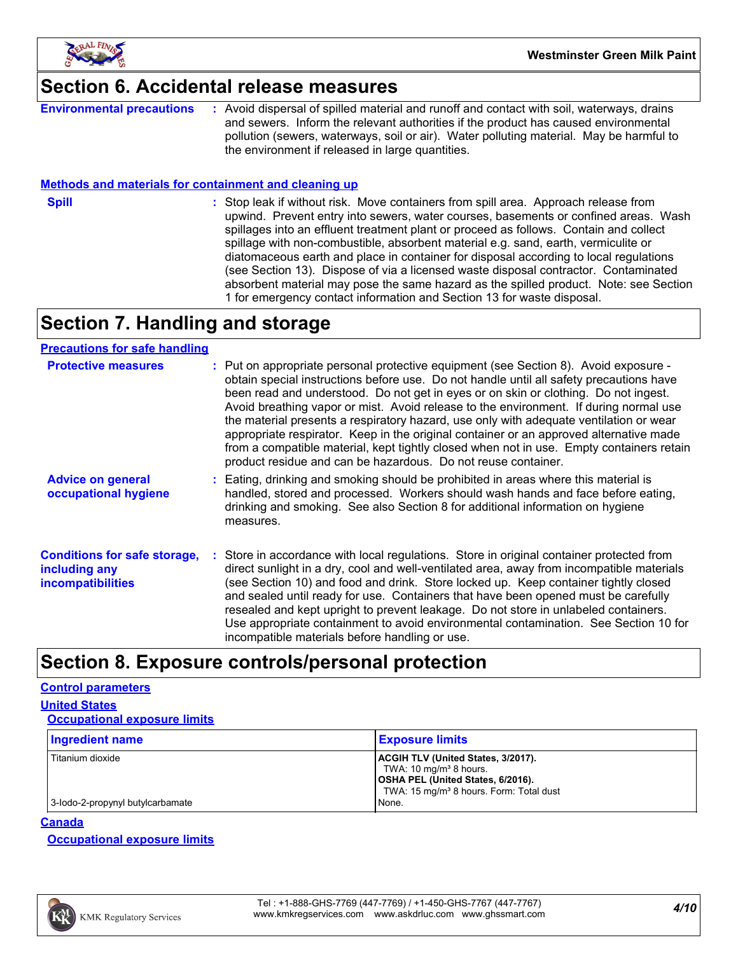

## **Section 6. Accidental release measures**

**Environmental precautions :** Avoid dispersal of spilled material and runoff and contact with soil, waterways, drains and sewers. Inform the relevant authorities if the product has caused environmental pollution (sewers, waterways, soil or air). Water polluting material. May be harmful to the environment if released in large quantities.

#### **Methods and materials for containment and cleaning up**

**Spill** Stop leak if without risk. Move containers from spill area. Approach release from spill upwind. Prevent entry into sewers, water courses, basements or confined areas. Wash spillages into an effluent treatment plant or proceed as follows. Contain and collect spillage with non-combustible, absorbent material e.g. sand, earth, vermiculite or diatomaceous earth and place in container for disposal according to local regulations (see Section 13). Dispose of via a licensed waste disposal contractor. Contaminated absorbent material may pose the same hazard as the spilled product. Note: see Section 1 for emergency contact information and Section 13 for waste disposal.

## **Section 7. Handling and storage**

#### **Precautions for safe handling**

| <b>Protective measures</b>                                                       | : Put on appropriate personal protective equipment (see Section 8). Avoid exposure -<br>obtain special instructions before use. Do not handle until all safety precautions have<br>been read and understood. Do not get in eyes or on skin or clothing. Do not ingest.<br>Avoid breathing vapor or mist. Avoid release to the environment. If during normal use<br>the material presents a respiratory hazard, use only with adequate ventilation or wear<br>appropriate respirator. Keep in the original container or an approved alternative made<br>from a compatible material, kept tightly closed when not in use. Empty containers retain<br>product residue and can be hazardous. Do not reuse container. |
|----------------------------------------------------------------------------------|------------------------------------------------------------------------------------------------------------------------------------------------------------------------------------------------------------------------------------------------------------------------------------------------------------------------------------------------------------------------------------------------------------------------------------------------------------------------------------------------------------------------------------------------------------------------------------------------------------------------------------------------------------------------------------------------------------------|
| <b>Advice on general</b><br>occupational hygiene                                 | : Eating, drinking and smoking should be prohibited in areas where this material is<br>handled, stored and processed. Workers should wash hands and face before eating,<br>drinking and smoking. See also Section 8 for additional information on hygiene<br>measures.                                                                                                                                                                                                                                                                                                                                                                                                                                           |
| <b>Conditions for safe storage,</b><br>including any<br><i>incompatibilities</i> | Store in accordance with local regulations. Store in original container protected from<br>direct sunlight in a dry, cool and well-ventilated area, away from incompatible materials<br>(see Section 10) and food and drink. Store locked up. Keep container tightly closed<br>and sealed until ready for use. Containers that have been opened must be carefully<br>resealed and kept upright to prevent leakage. Do not store in unlabeled containers.<br>Use appropriate containment to avoid environmental contamination. See Section 10 for<br>incompatible materials before handling or use.                                                                                                                |

## **Section 8. Exposure controls/personal protection**

#### **Control parameters**

**United States**

| <b>Occupational exposure limits</b> |                                                                                                                                                                                    |
|-------------------------------------|------------------------------------------------------------------------------------------------------------------------------------------------------------------------------------|
| Ingredient name                     | <b>Exposure limits</b>                                                                                                                                                             |
| Titanium dioxide                    | <b>ACGIH TLV (United States, 3/2017).</b><br>TWA: 10 mg/m <sup>3</sup> 8 hours.<br><b>OSHA PEL (United States, 6/2016).</b><br>TWA: 15 mg/m <sup>3</sup> 8 hours. Form: Total dust |
| 3-lodo-2-propynyl butylcarbamate    | None.                                                                                                                                                                              |

#### **Canada**

**Occupational exposure limits**

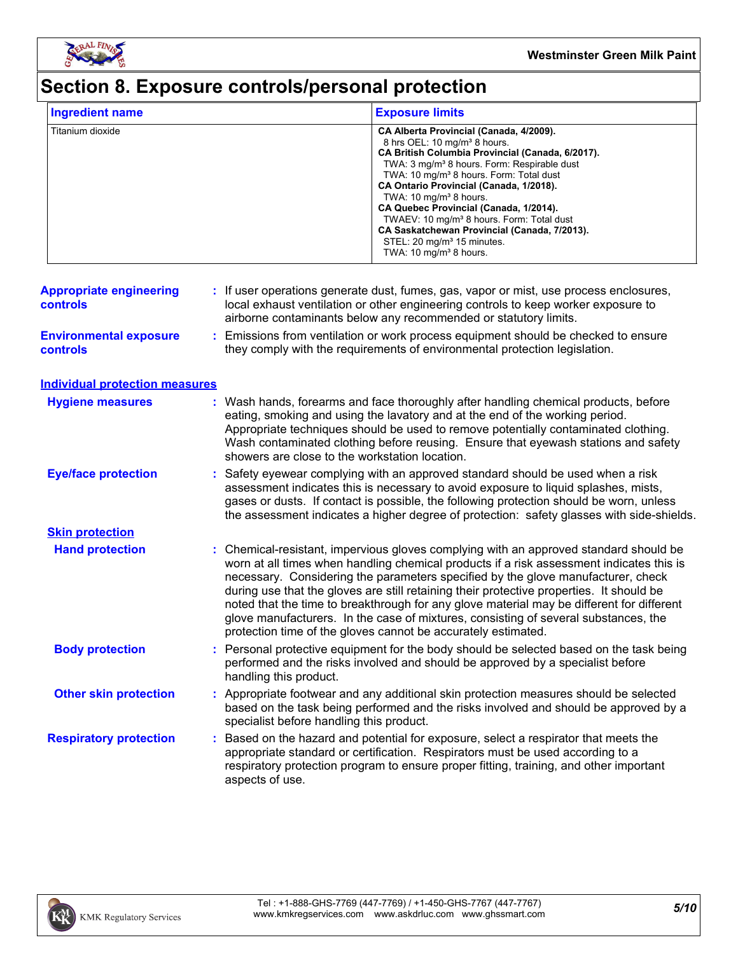

# **Section 8. Exposure controls/personal protection**

| <b>Ingredient name</b>                            | <b>Exposure limits</b>                                                           |                                                                                                                                                                                                                                                                                                                                                                                                                                                                                                                                                                               |
|---------------------------------------------------|----------------------------------------------------------------------------------|-------------------------------------------------------------------------------------------------------------------------------------------------------------------------------------------------------------------------------------------------------------------------------------------------------------------------------------------------------------------------------------------------------------------------------------------------------------------------------------------------------------------------------------------------------------------------------|
| Titanium dioxide                                  |                                                                                  | CA Alberta Provincial (Canada, 4/2009).<br>8 hrs OEL: 10 mg/m <sup>3</sup> 8 hours.<br>CA British Columbia Provincial (Canada, 6/2017).<br>TWA: 3 mg/m <sup>3</sup> 8 hours. Form: Respirable dust<br>TWA: 10 mg/m <sup>3</sup> 8 hours. Form: Total dust<br>CA Ontario Provincial (Canada, 1/2018).<br>TWA: 10 mg/m <sup>3</sup> 8 hours.<br>CA Quebec Provincial (Canada, 1/2014).<br>TWAEV: 10 mg/m <sup>3</sup> 8 hours. Form: Total dust<br>CA Saskatchewan Provincial (Canada, 7/2013).<br>STEL: 20 mg/m <sup>3</sup> 15 minutes.<br>TWA: 10 mg/m <sup>3</sup> 8 hours. |
| <b>Appropriate engineering</b><br><b>controls</b> | airborne contaminants below any recommended or statutory limits.                 | If user operations generate dust, fumes, gas, vapor or mist, use process enclosures,<br>local exhaust ventilation or other engineering controls to keep worker exposure to                                                                                                                                                                                                                                                                                                                                                                                                    |
| <b>Environmental exposure</b><br><b>controls</b>  | ÷.<br>they comply with the requirements of environmental protection legislation. | Emissions from ventilation or work process equipment should be checked to ensure                                                                                                                                                                                                                                                                                                                                                                                                                                                                                              |
| <b>Individual protection measures</b>             |                                                                                  |                                                                                                                                                                                                                                                                                                                                                                                                                                                                                                                                                                               |
| <b>Hygiene measures</b>                           | showers are close to the workstation location.                                   | : Wash hands, forearms and face thoroughly after handling chemical products, before<br>eating, smoking and using the lavatory and at the end of the working period.<br>Appropriate techniques should be used to remove potentially contaminated clothing.<br>Wash contaminated clothing before reusing. Ensure that eyewash stations and safety                                                                                                                                                                                                                               |
| <b>Eye/face protection</b>                        | ÷.                                                                               | Safety eyewear complying with an approved standard should be used when a risk<br>assessment indicates this is necessary to avoid exposure to liquid splashes, mists,<br>gases or dusts. If contact is possible, the following protection should be worn, unless<br>the assessment indicates a higher degree of protection: safety glasses with side-shields.                                                                                                                                                                                                                  |
| <b>Skin protection</b>                            |                                                                                  |                                                                                                                                                                                                                                                                                                                                                                                                                                                                                                                                                                               |
| <b>Hand protection</b>                            | protection time of the gloves cannot be accurately estimated.                    | Chemical-resistant, impervious gloves complying with an approved standard should be<br>worn at all times when handling chemical products if a risk assessment indicates this is<br>necessary. Considering the parameters specified by the glove manufacturer, check<br>during use that the gloves are still retaining their protective properties. It should be<br>noted that the time to breakthrough for any glove material may be different for different<br>glove manufacturers. In the case of mixtures, consisting of several substances, the                           |
| <b>Body protection</b>                            | handling this product.                                                           | : Personal protective equipment for the body should be selected based on the task being<br>performed and the risks involved and should be approved by a specialist before                                                                                                                                                                                                                                                                                                                                                                                                     |
| <b>Other skin protection</b>                      | specialist before handling this product.                                         | : Appropriate footwear and any additional skin protection measures should be selected<br>based on the task being performed and the risks involved and should be approved by a                                                                                                                                                                                                                                                                                                                                                                                                 |
| <b>Respiratory protection</b>                     | aspects of use.                                                                  | Based on the hazard and potential for exposure, select a respirator that meets the<br>appropriate standard or certification. Respirators must be used according to a<br>respiratory protection program to ensure proper fitting, training, and other important                                                                                                                                                                                                                                                                                                                |

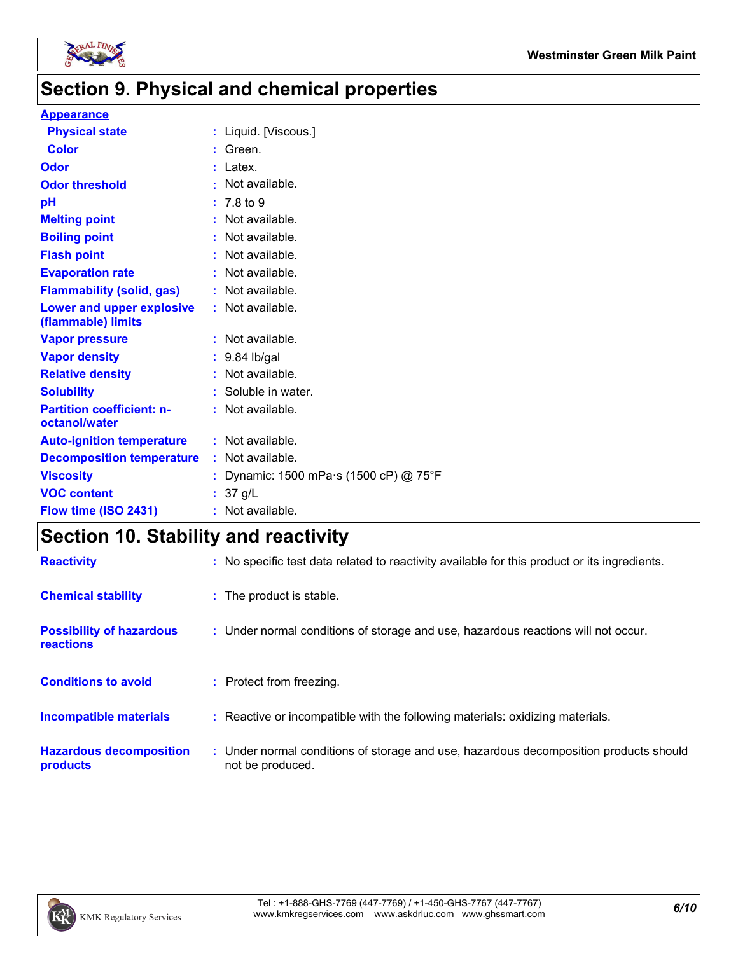

# **Section 9. Physical and chemical properties**

#### **Appearance**

| : Liquid. [Viscous.]                 |
|--------------------------------------|
| : Green.                             |
| $:$ Latex.                           |
| Not available.                       |
| : 7.8 to 9                           |
| : Not available.                     |
| Not available.                       |
| : Not available.                     |
| : Not available.                     |
| : Not available.                     |
| : Not available.                     |
| : Not available.                     |
| $: 9.84$ lb/gal                      |
| : Not available.                     |
| : Soluble in water.                  |
| : Not available.                     |
| $:$ Not available.                   |
| : Not available.                     |
| Dynamic: 1500 mPa s (1500 cP) @ 75°F |
| : 37 g/L                             |
| : Not available.                     |
|                                      |

# **Section 10. Stability and reactivity**

| <b>Reactivity</b>                                   | : No specific test data related to reactivity available for this product or its ingredients.              |
|-----------------------------------------------------|-----------------------------------------------------------------------------------------------------------|
| <b>Chemical stability</b>                           | : The product is stable.                                                                                  |
| <b>Possibility of hazardous</b><br><b>reactions</b> | : Under normal conditions of storage and use, hazardous reactions will not occur.                         |
| <b>Conditions to avoid</b>                          | : Protect from freezing.                                                                                  |
| <b>Incompatible materials</b>                       | : Reactive or incompatible with the following materials: oxidizing materials.                             |
| <b>Hazardous decomposition</b><br>products          | : Under normal conditions of storage and use, hazardous decomposition products should<br>not be produced. |

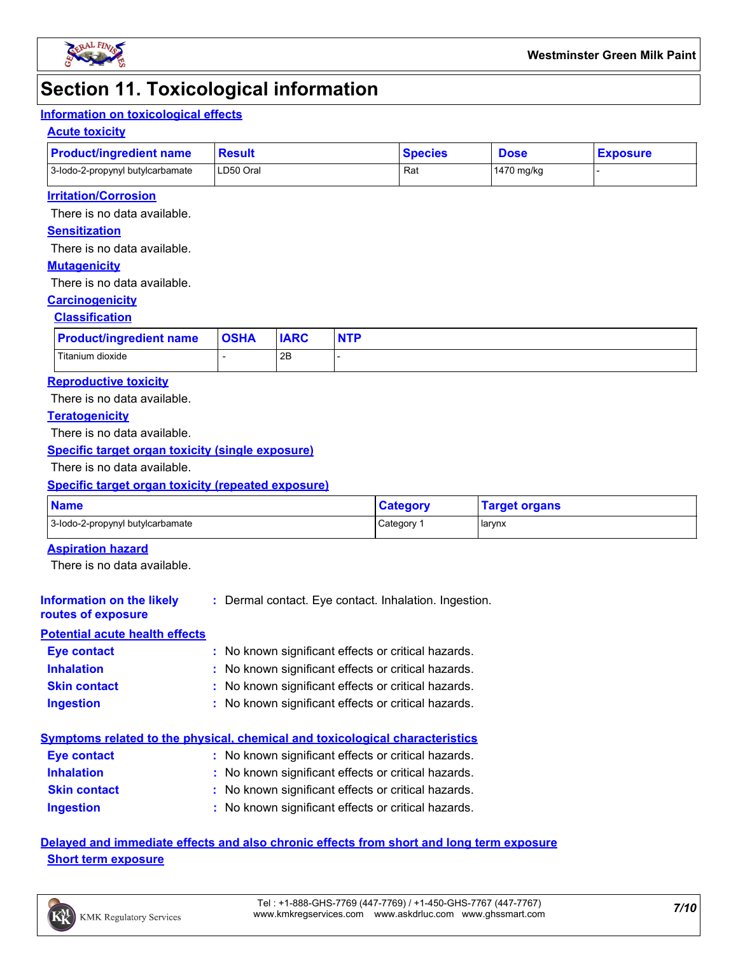

## **Section 11. Toxicological information**

## **Information on toxicological effects**

#### **Acute toxicity**

| <b>Product/ingredient name</b>   | Result    | <b>Species</b> | <b>Dose</b> | <b>Exposure</b> |
|----------------------------------|-----------|----------------|-------------|-----------------|
| 3-lodo-2-propynyl butylcarbamate | LD50 Oral | Rat            | 1470 mg/kg  |                 |

#### **Irritation/Corrosion**

There is no data available.

#### **Sensitization**

There is no data available.

#### **Mutagenicity**

There is no data available.

#### **Carcinogenicity**

#### **Classification**

| <b>Product/ingredient name</b> | <b>OSHA</b> | <b>IARC</b> | <b>NTP</b> |
|--------------------------------|-------------|-------------|------------|
| Titanium dioxide               |             | 2B          |            |

#### **Reproductive toxicity**

There is no data available.

#### **Teratogenicity**

There is no data available.

#### **Specific target organ toxicity (single exposure)**

There is no data available.

### **Specific target organ toxicity (repeated exposure)**

| <b>Name</b>                      | <b>Category</b> | <b>Target organs</b> |
|----------------------------------|-----------------|----------------------|
| 3-lodo-2-propynyl butylcarbamate | Category        | larynx               |

#### **Aspiration hazard**

There is no data available.

#### **Information on the likely :** Dermal contact. Eye contact. Inhalation. Ingestion.

## **routes of exposure Potential acute health effects**

| <b>Eye contact</b>  | : No known significant effects or critical hazards. |
|---------------------|-----------------------------------------------------|
| <b>Inhalation</b>   | : No known significant effects or critical hazards. |
| <b>Skin contact</b> | : No known significant effects or critical hazards. |
| <b>Ingestion</b>    | : No known significant effects or critical hazards. |

## **Symptoms related to the physical, chemical and toxicological characteristics**

| <b>Eye contact</b>  | : No known significant effects or critical hazards. |
|---------------------|-----------------------------------------------------|
| <b>Inhalation</b>   | : No known significant effects or critical hazards. |
| <b>Skin contact</b> | : No known significant effects or critical hazards. |
| Ingestion           | : No known significant effects or critical hazards. |

**Delayed and immediate effects and also chronic effects from short and long term exposure Short term exposure**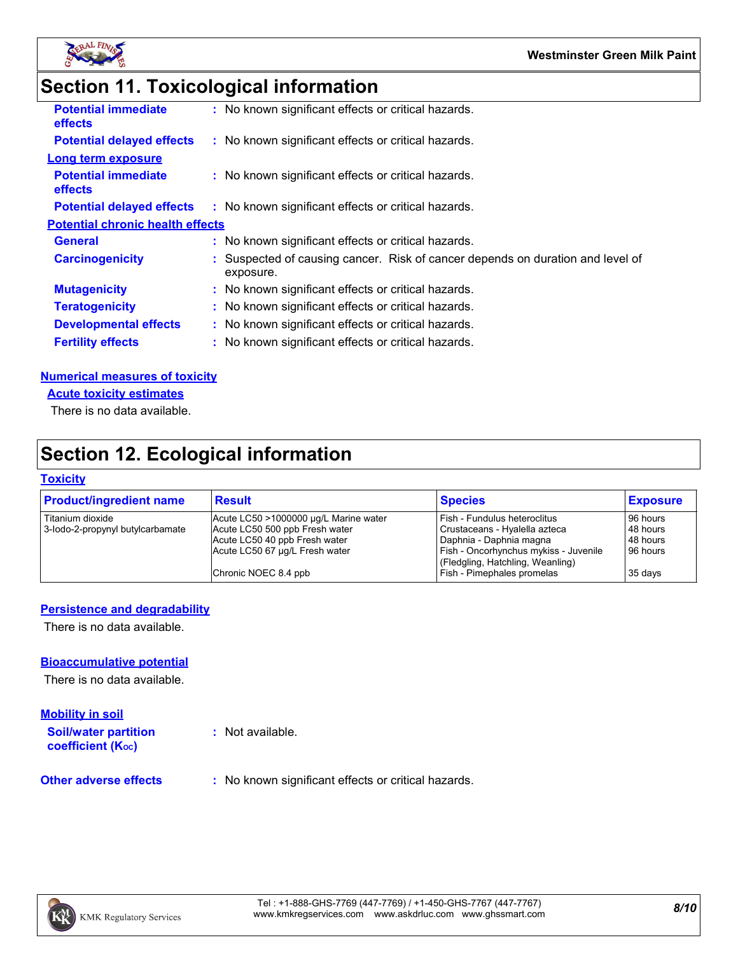

# **Section 11. Toxicological information**

| <b>Potential immediate</b><br><b>effects</b> | : No known significant effects or critical hazards.                                         |
|----------------------------------------------|---------------------------------------------------------------------------------------------|
| <b>Potential delayed effects</b>             | : No known significant effects or critical hazards.                                         |
| <b>Long term exposure</b>                    |                                                                                             |
| <b>Potential immediate</b><br><b>effects</b> | : No known significant effects or critical hazards.                                         |
| <b>Potential delayed effects</b>             | : No known significant effects or critical hazards.                                         |
| <b>Potential chronic health effects</b>      |                                                                                             |
| <b>General</b>                               | : No known significant effects or critical hazards.                                         |
| <b>Carcinogenicity</b>                       | : Suspected of causing cancer. Risk of cancer depends on duration and level of<br>exposure. |
| <b>Mutagenicity</b>                          | : No known significant effects or critical hazards.                                         |
| <b>Teratogenicity</b>                        | : No known significant effects or critical hazards.                                         |
| <b>Developmental effects</b>                 | : No known significant effects or critical hazards.                                         |
| <b>Fertility effects</b>                     | : No known significant effects or critical hazards.                                         |
|                                              |                                                                                             |

#### **Numerical measures of toxicity**

**Acute toxicity estimates**

There is no data available.

# **Section 12. Ecological information**

#### **Toxicity**

| <b>Product/ingredient name</b>   | Result                                | <b>Species</b>                        | <b>Exposure</b> |
|----------------------------------|---------------------------------------|---------------------------------------|-----------------|
| l Titanium dioxide               | Acute LC50 >1000000 µg/L Marine water | l Fish - Fundulus heteroclitus        | 96 hours        |
| 3-lodo-2-propynyl butylcarbamate | Acute LC50 500 ppb Fresh water        | Crustaceans - Hyalella azteca         | 48 hours        |
|                                  | Acute LC50 40 ppb Fresh water         | Daphnia - Daphnia magna               | 48 hours        |
|                                  | Acute LC50 67 µg/L Fresh water        | Fish - Oncorhynchus mykiss - Juvenile | 96 hours        |
|                                  |                                       | (Fledgling, Hatchling, Weanling)      |                 |
|                                  | Chronic NOEC 8.4 ppb                  | Fish - Pimephales promelas            | 35 days         |

## **Persistence and degradability**

There is no data available.

#### **Bioaccumulative potential**

There is no data available.

## **Mobility in soil**

**Soil/water partition coefficient (KOC)**

**:** Not available.

#### **Other adverse effects** : No known significant effects or critical hazards.

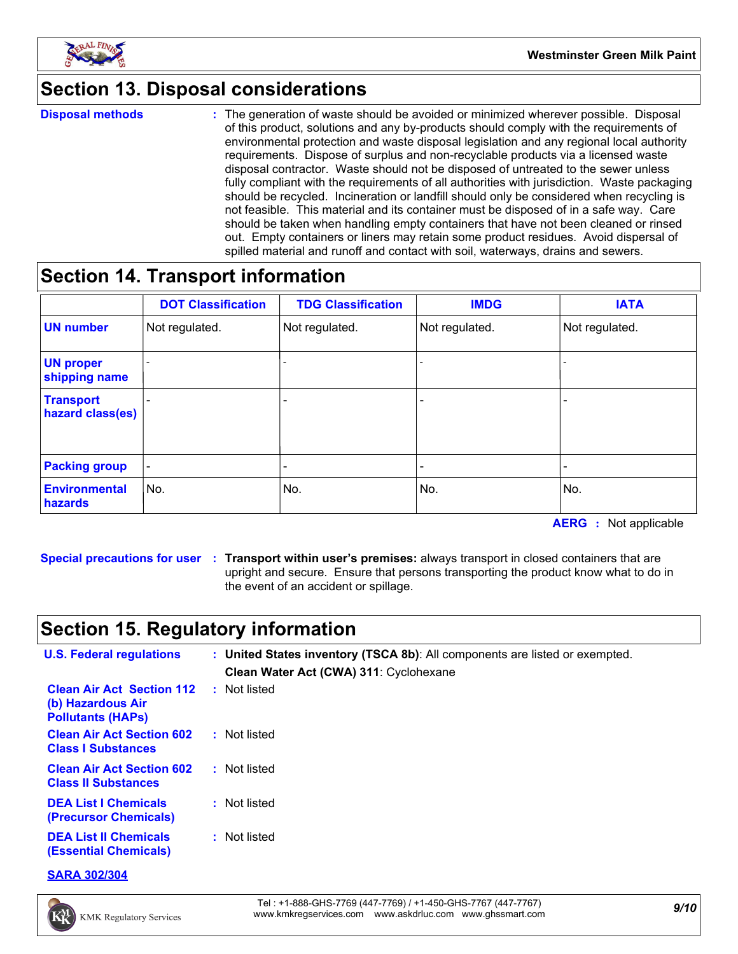

## **Section 13. Disposal considerations**

**Disposal methods :**

The generation of waste should be avoided or minimized wherever possible. Disposal of this product, solutions and any by-products should comply with the requirements of environmental protection and waste disposal legislation and any regional local authority requirements. Dispose of surplus and non-recyclable products via a licensed waste disposal contractor. Waste should not be disposed of untreated to the sewer unless fully compliant with the requirements of all authorities with jurisdiction. Waste packaging should be recycled. Incineration or landfill should only be considered when recycling is not feasible. This material and its container must be disposed of in a safe way. Care should be taken when handling empty containers that have not been cleaned or rinsed out. Empty containers or liners may retain some product residues. Avoid dispersal of spilled material and runoff and contact with soil, waterways, drains and sewers.

## **Section 14. Transport information**

|                                      | <b>DOT Classification</b> | <b>TDG Classification</b> | <b>IMDG</b>    | <b>IATA</b>              |
|--------------------------------------|---------------------------|---------------------------|----------------|--------------------------|
| <b>UN number</b>                     | Not regulated.            | Not regulated.            | Not regulated. | Not regulated.           |
| <b>UN proper</b><br>shipping name    |                           |                           |                |                          |
| <b>Transport</b><br>hazard class(es) |                           | -                         |                |                          |
| <b>Packing group</b>                 | $\overline{\phantom{a}}$  | -                         |                | $\overline{\phantom{0}}$ |
| <b>Environmental</b><br>hazards      | No.                       | No.                       | No.            | No.                      |

**AERG :** Not applicable

**Special precautions for user Transport within user's premises:** always transport in closed containers that are **:** upright and secure. Ensure that persons transporting the product know what to do in the event of an accident or spillage.

# **Section 15. Regulatory information**

| <b>U.S. Federal regulations</b>                                                   | : United States inventory (TSCA 8b): All components are listed or exempted.<br>Clean Water Act (CWA) 311: Cyclohexane |  |  |
|-----------------------------------------------------------------------------------|-----------------------------------------------------------------------------------------------------------------------|--|--|
| <b>Clean Air Act Section 112</b><br>(b) Hazardous Air<br><b>Pollutants (HAPS)</b> | : Not listed                                                                                                          |  |  |
| <b>Clean Air Act Section 602</b><br><b>Class I Substances</b>                     | : Not listed                                                                                                          |  |  |
| <b>Clean Air Act Section 602</b><br><b>Class II Substances</b>                    | : Not listed                                                                                                          |  |  |
| <b>DEA List I Chemicals</b><br>(Precursor Chemicals)                              | : Not listed                                                                                                          |  |  |
| <b>DEA List II Chemicals</b><br>(Essential Chemicals)                             | : Not listed                                                                                                          |  |  |

**SARA 302/304**